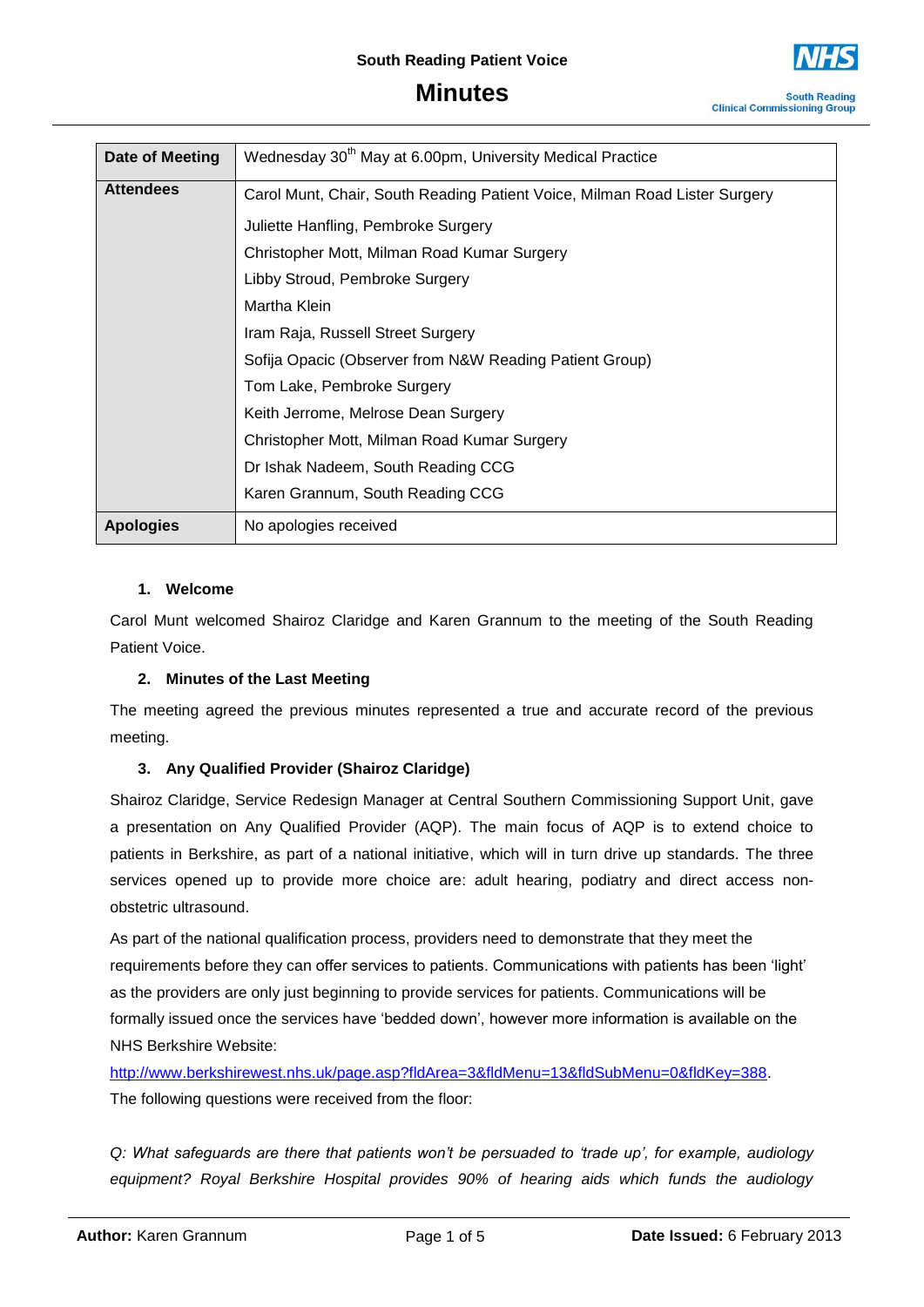

**South Reading Clinical Commissioning Group** 

| Date of Meeting  | Wednesday 30 <sup>th</sup> May at 6.00pm, University Medical Practice      |
|------------------|----------------------------------------------------------------------------|
| <b>Attendees</b> | Carol Munt, Chair, South Reading Patient Voice, Milman Road Lister Surgery |
|                  | Juliette Hanfling, Pembroke Surgery                                        |
|                  | Christopher Mott, Milman Road Kumar Surgery                                |
|                  | Libby Stroud, Pembroke Surgery                                             |
|                  | Martha Klein                                                               |
|                  | Iram Raja, Russell Street Surgery                                          |
|                  | Sofija Opacic (Observer from N&W Reading Patient Group)                    |
|                  | Tom Lake, Pembroke Surgery                                                 |
|                  | Keith Jerrome, Melrose Dean Surgery                                        |
|                  | Christopher Mott, Milman Road Kumar Surgery                                |
|                  | Dr Ishak Nadeem, South Reading CCG                                         |
|                  | Karen Grannum, South Reading CCG                                           |
| <b>Apologies</b> | No apologies received                                                      |

### **1. Welcome**

Carol Munt welcomed Shairoz Claridge and Karen Grannum to the meeting of the South Reading Patient Voice.

#### **2. Minutes of the Last Meeting**

The meeting agreed the previous minutes represented a true and accurate record of the previous meeting.

### **3. Any Qualified Provider (Shairoz Claridge)**

Shairoz Claridge, Service Redesign Manager at Central Southern Commissioning Support Unit, gave a presentation on Any Qualified Provider (AQP). The main focus of AQP is to extend choice to patients in Berkshire, as part of a national initiative, which will in turn drive up standards. The three services opened up to provide more choice are: adult hearing, podiatry and direct access nonobstetric ultrasound.

As part of the national qualification process, providers need to demonstrate that they meet the requirements before they can offer services to patients. Communications with patients has been 'light' as the providers are only just beginning to provide services for patients. Communications will be formally issued once the services have 'bedded down', however more information is available on the NHS Berkshire Website:

[http://www.berkshirewest.nhs.uk/page.asp?fldArea=3&fldMenu=13&fldSubMenu=0&fldKey=388.](http://www.berkshirewest.nhs.uk/page.asp?fldArea=3&fldMenu=13&fldSubMenu=0&fldKey=388) The following questions were received from the floor:

*Q: What safeguards are there that patients won't be persuaded to 'trade up', for example, audiology equipment? Royal Berkshire Hospital provides 90% of hearing aids which funds the audiology*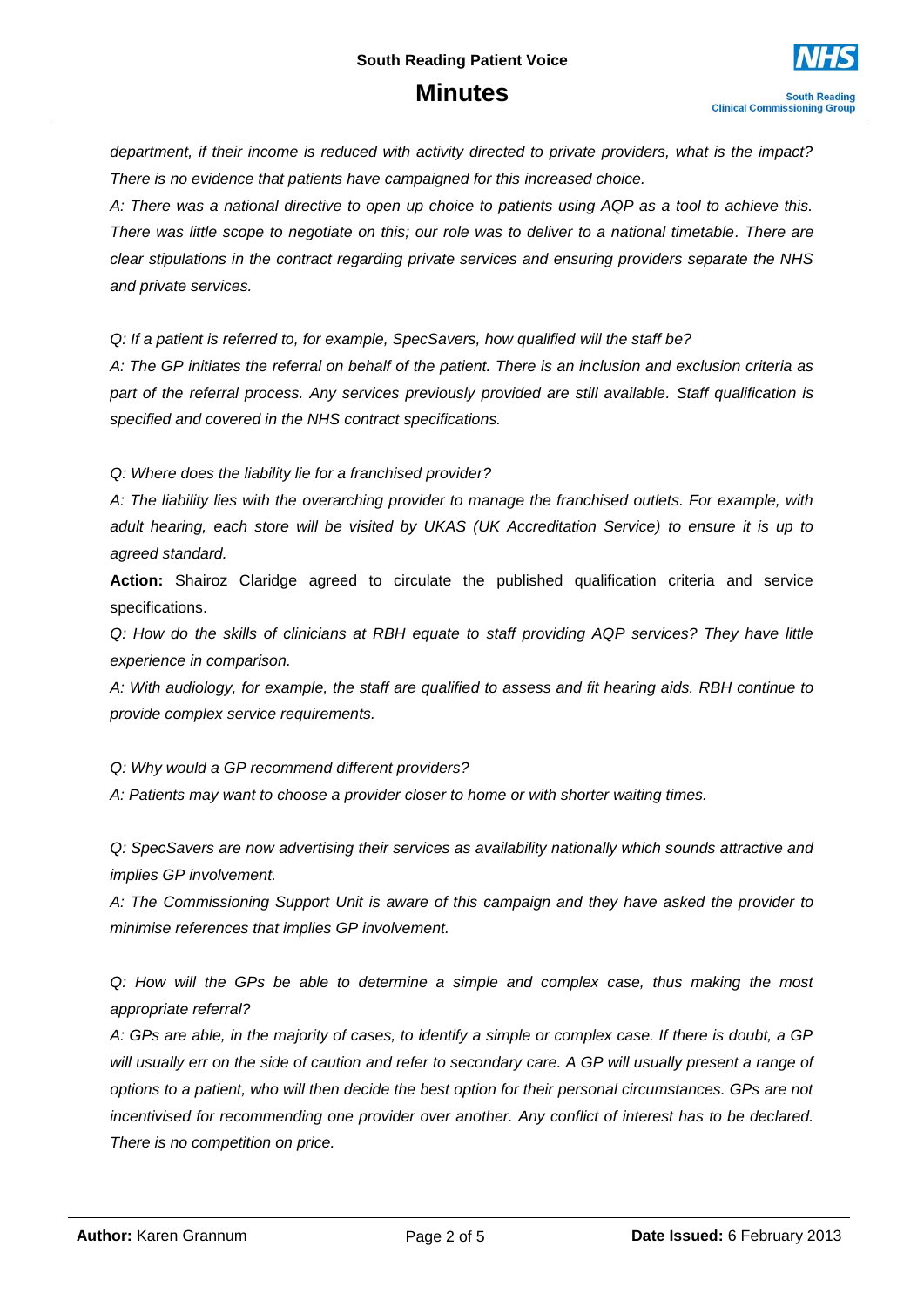*department, if their income is reduced with activity directed to private providers, what is the impact? There is no evidence that patients have campaigned for this increased choice.*

*A: There was a national directive to open up choice to patients using AQP as a tool to achieve this. There was little scope to negotiate on this; our role was to deliver to a national timetable. There are clear stipulations in the contract regarding private services and ensuring providers separate the NHS and private services.*

*Q: If a patient is referred to, for example, SpecSavers, how qualified will the staff be?*

*A: The GP initiates the referral on behalf of the patient. There is an inclusion and exclusion criteria as part of the referral process. Any services previously provided are still available. Staff qualification is specified and covered in the NHS contract specifications.*

*Q: Where does the liability lie for a franchised provider?*

*A: The liability lies with the overarching provider to manage the franchised outlets. For example, with adult hearing, each store will be visited by UKAS (UK Accreditation Service) to ensure it is up to agreed standard.*

**Action:** Shairoz Claridge agreed to circulate the published qualification criteria and service specifications.

*Q: How do the skills of clinicians at RBH equate to staff providing AQP services? They have little experience in comparison.*

*A: With audiology, for example, the staff are qualified to assess and fit hearing aids. RBH continue to provide complex service requirements.*

*Q: Why would a GP recommend different providers?*

*A: Patients may want to choose a provider closer to home or with shorter waiting times.*

*Q: SpecSavers are now advertising their services as availability nationally which sounds attractive and implies GP involvement.*

*A: The Commissioning Support Unit is aware of this campaign and they have asked the provider to minimise references that implies GP involvement.*

*Q: How will the GPs be able to determine a simple and complex case, thus making the most appropriate referral?*

*A: GPs are able, in the majority of cases, to identify a simple or complex case. If there is doubt, a GP will usually err on the side of caution and refer to secondary care. A GP will usually present a range of options to a patient, who will then decide the best option for their personal circumstances. GPs are not incentivised for recommending one provider over another. Any conflict of interest has to be declared. There is no competition on price.*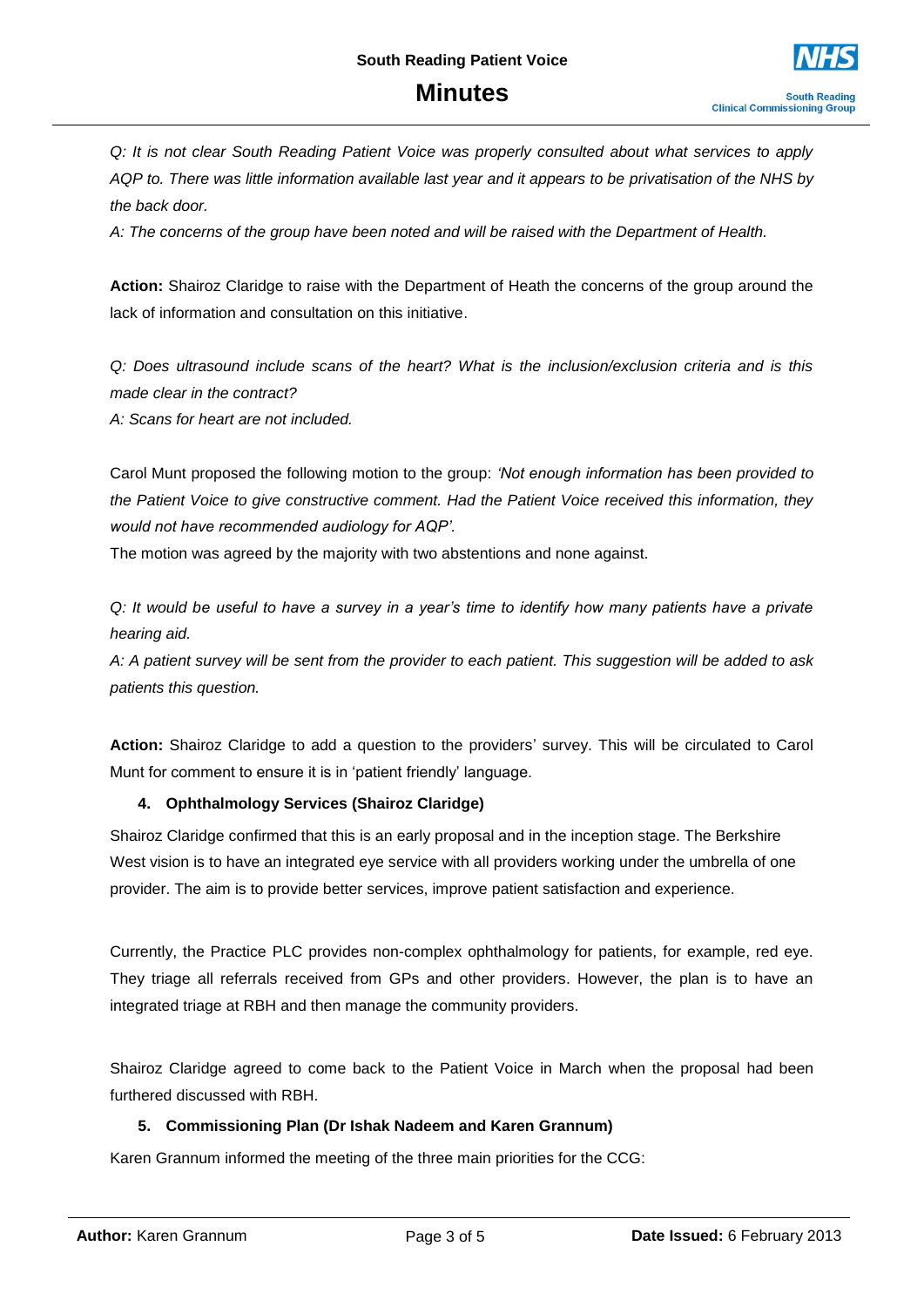*Q: It is not clear South Reading Patient Voice was properly consulted about what services to apply AQP to. There was little information available last year and it appears to be privatisation of the NHS by the back door.*

*A: The concerns of the group have been noted and will be raised with the Department of Health.*

**Action:** Shairoz Claridge to raise with the Department of Heath the concerns of the group around the lack of information and consultation on this initiative.

*Q: Does ultrasound include scans of the heart? What is the inclusion/exclusion criteria and is this made clear in the contract?*

*A: Scans for heart are not included.* 

Carol Munt proposed the following motion to the group: *'Not enough information has been provided to the Patient Voice to give constructive comment. Had the Patient Voice received this information, they would not have recommended audiology for AQP'.*

The motion was agreed by the majority with two abstentions and none against.

*Q: It would be useful to have a survey in a year's time to identify how many patients have a private hearing aid.*

*A: A patient survey will be sent from the provider to each patient. This suggestion will be added to ask patients this question.*

**Action:** Shairoz Claridge to add a question to the providers' survey. This will be circulated to Carol Munt for comment to ensure it is in 'patient friendly' language.

#### **4. Ophthalmology Services (Shairoz Claridge)**

Shairoz Claridge confirmed that this is an early proposal and in the inception stage. The Berkshire West vision is to have an integrated eye service with all providers working under the umbrella of one provider. The aim is to provide better services, improve patient satisfaction and experience.

Currently, the Practice PLC provides non-complex ophthalmology for patients, for example, red eye. They triage all referrals received from GPs and other providers. However, the plan is to have an integrated triage at RBH and then manage the community providers.

Shairoz Claridge agreed to come back to the Patient Voice in March when the proposal had been furthered discussed with RBH.

#### **5. Commissioning Plan (Dr Ishak Nadeem and Karen Grannum)**

Karen Grannum informed the meeting of the three main priorities for the CCG: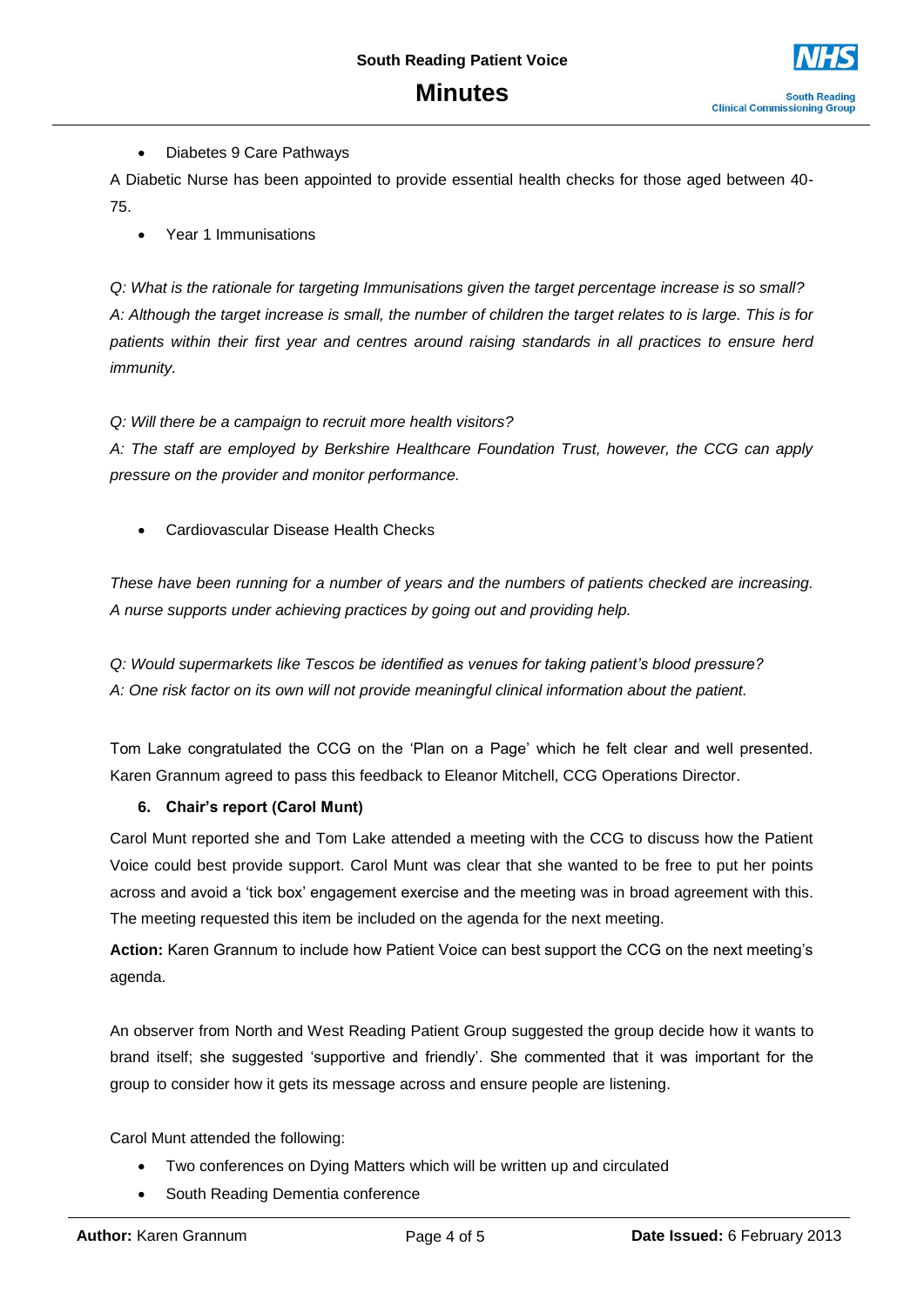Diabetes 9 Care Pathways

A Diabetic Nurse has been appointed to provide essential health checks for those aged between 40- 75.

Year 1 Immunisations

*Q: What is the rationale for targeting Immunisations given the target percentage increase is so small? A: Although the target increase is small, the number of children the target relates to is large. This is for patients within their first year and centres around raising standards in all practices to ensure herd immunity.*

*Q: Will there be a campaign to recruit more health visitors?*

*A: The staff are employed by Berkshire Healthcare Foundation Trust, however, the CCG can apply pressure on the provider and monitor performance.* 

Cardiovascular Disease Health Checks

*These have been running for a number of years and the numbers of patients checked are increasing. A nurse supports under achieving practices by going out and providing help.*

*Q: Would supermarkets like Tescos be identified as venues for taking patient's blood pressure? A: One risk factor on its own will not provide meaningful clinical information about the patient.*

Tom Lake congratulated the CCG on the 'Plan on a Page' which he felt clear and well presented. Karen Grannum agreed to pass this feedback to Eleanor Mitchell, CCG Operations Director.

#### **6. Chair's report (Carol Munt)**

Carol Munt reported she and Tom Lake attended a meeting with the CCG to discuss how the Patient Voice could best provide support. Carol Munt was clear that she wanted to be free to put her points across and avoid a 'tick box' engagement exercise and the meeting was in broad agreement with this. The meeting requested this item be included on the agenda for the next meeting.

**Action:** Karen Grannum to include how Patient Voice can best support the CCG on the next meeting's agenda.

An observer from North and West Reading Patient Group suggested the group decide how it wants to brand itself; she suggested 'supportive and friendly'. She commented that it was important for the group to consider how it gets its message across and ensure people are listening.

Carol Munt attended the following:

- Two conferences on Dying Matters which will be written up and circulated
- South Reading Dementia conference